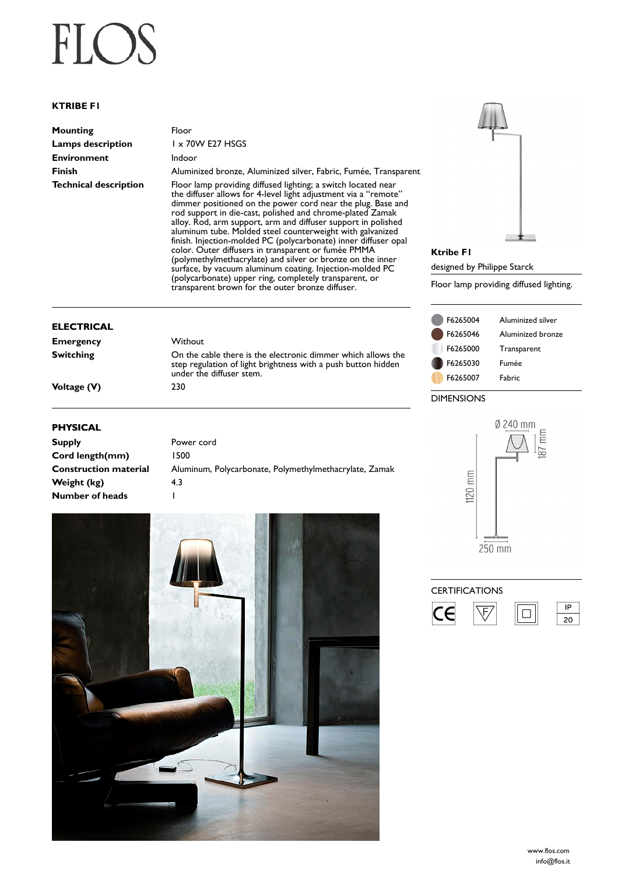## $FI( )$

## **KTRIBE F1**

| Mounting              | Floor                                                                                                                            |
|-----------------------|----------------------------------------------------------------------------------------------------------------------------------|
| Lamps description     | $1 \times 70W$ E27 HSGS                                                                                                          |
| Environment           | Indoor                                                                                                                           |
| Finish                | Aluminized bronze, Aluminized silver, Fabric, Fumée, Transparent                                                                 |
| Technical description | Floor lamp providing diffused lighting; a switch located near<br>the diffuser allows for 4-level light adjustment via a "remote" |

rated near<br>a "remote" the diffuser allows for 4-level light adjustment via a "remote" dimmer positioned on the power cord near the plug. Base and rod support in die-cast, polished and chrome-plated Zamak alloy. Rod, arm support, arm and diffuser support in polished aluminum tube. Molded steel counterweight with galvanized finish. Injection-molded PC (polycarbonate) inner diffuser opal color. Outer diffusers in transparent or fumèe PMMA (polymethylmethacrylate) and silver or bronze on the inner surface, by vacuum aluminum coating. Injection-molded PC (polycarbonate) upper ring, completely transparent, or transparent brown for the outer bronze diffuser.

On the cable there is the electronic dimmer which allows the step regulation of light brightness with a push button hidden

## **ELECTRICAL**

| <b>Emergency</b> |  |
|------------------|--|
| <b>Switching</b> |  |
|                  |  |
|                  |  |

**Voltage (V)** 230

## **PHYSICAL**

| <b>Supply</b>                | Power cord                                             |
|------------------------------|--------------------------------------------------------|
| Cord length(mm)              | 500                                                    |
| <b>Construction material</b> | Aluminum, Polycarbonate, Polymethylmethacrylate, Zamak |
| Weight (kg)                  | 4.3                                                    |
| Number of heads              |                                                        |

**Without** 

under the diffuser stem.





**Ktribe F1** designed by Philippe Starck Floor lamp providing diffused lighting.